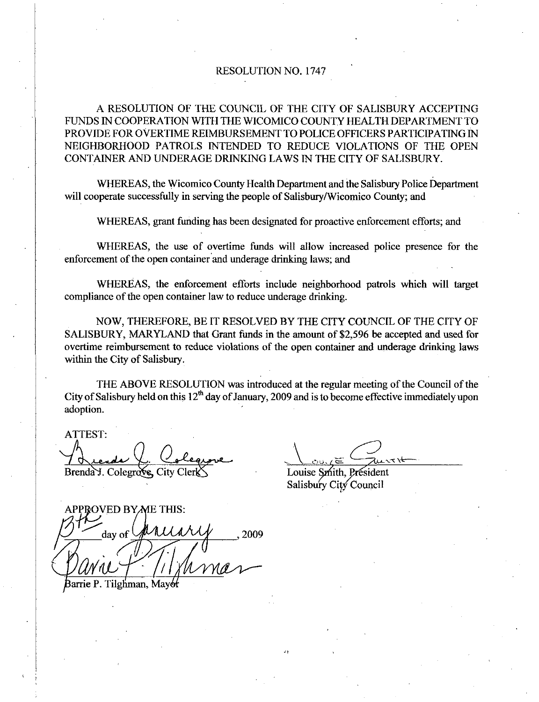## RESOLUTION NO. 1747

A RESOLUTION OF THE COUNCIL OF THE CITY OF SALISBURY ACCEPTING FUNDS IN COOPERATION WITH THE WICOMICO COUNTY HEALTH DEPARTMENT TO PROVIDE FOR OVERTIME REIMBURSEMENT TO POLICE OFFICERS PARTICIPATING IN NEIGHBORHOOD PATROLS INTENDED TO REDUCE VIOLATIONS OF THE OPEN CONTAINER AND UNDERAGE DRINKING LAWS IN THE CITY OF SALISBURY

WHEREAS the Wicomico County Health Department and the Salisbury Police Department will cooperate successfully in serving the people of Salisbury/Wicomico County; and

WHEREAS, grant funding has been designated for proactive enforcement efforts; and

WHEREAS, the use of overtime funds will allow increased police presence for the enforcement of the open container and underage drinking laws; and

WHEREAS, the enforcement efforts include neighborhood patrols which will target compliance of the open container law to reduce underage drinking.

NOW, THEREFORE, BE IT RESOLVED BY THE CITY COUNCIL OF THE CITY OF SALISBURY, MARYLAND that Grant funds in the amount of \$2,596 be accepted and used for overtime reimbursement to reduce violations of the open container and underage drinking laws within the City of Salisbury.

THE ABOVE RESOLUTION was introduced at the regular meeting of the Council of the City of Salisbury held on this  $12<sup>th</sup>$  day of January, 2009 and is to become effective immediately upon adoption

ATTEST

<u>rends</u> Brenda J. Colegrave, City Cler

Louise Smith, President Salisbury City Council

APPROVED BY ME THIS: day of Barrie P. Tilghman, Mayor 2009